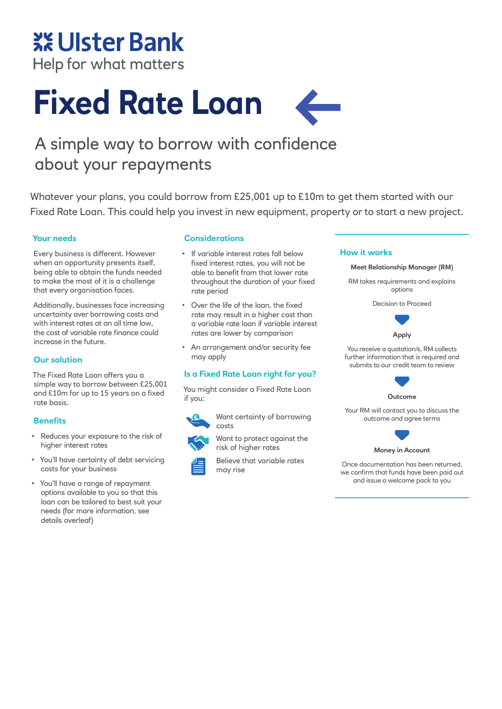## **XX Ulster Bank**

Help for what matters

# **Fixed Rate Loan**

### A simple way to borrow with confidence about your repayments

Whatever your plans, you could borrow from £25,001 up to £10m to get them started with our Fixed Rate Loan. This could help you invest in new equipment, property or to start a new project.

#### **Your needs**

Every business is different. However when an opportunity presents itself, being able to obtain the funds needed to make the most of it is a challenge that every organisation faces.

Additionally, businesses face increasing uncertainty over borrowing costs and with interest rates at an all time low, the cost of variable rate finance could increase in the future.

#### **Our solution**

The Fixed Rate Loan offers you a simple way to borrow between £25,001 and £10m for up to 15 years on a fixed rate basis.

#### **Benefits**

- Reduces your exposure to the risk of higher interest rates
- You'll have certainty of debt servicing costs for your business
- You'll have a range of repayment options available to you so that this loan can be tailored to best suit your needs (for more information, see details overleaf)

#### **Considerations**

- If variable interest rates fall below fixed interest rates, you will not be able to benefit from that lower rate throughout the duration of your fixed rate period
- Over the life of the loan, the fixed rate may result in a higher cost than a variable rate loan if variable interest rates are lower by comparison
- An arrangement and/or security fee may apply

#### **Is a Fixed Rate Loan right for you?**

You might consider a Fixed Rate Loan if you:

Want certainty of borrowing costs



Want to protect against the



risk of higher rates

#### **How it works**



Decision to Proceed



You receive a quotation/s, RM collects further information that is required and submits to our credit team to review



**Outcome**

Your RM will contact you to discuss the outcome and agree terms



**Money in Account** 

Once documentation has been returned, we confirm that funds have been paid out and issue a welcome pack to you